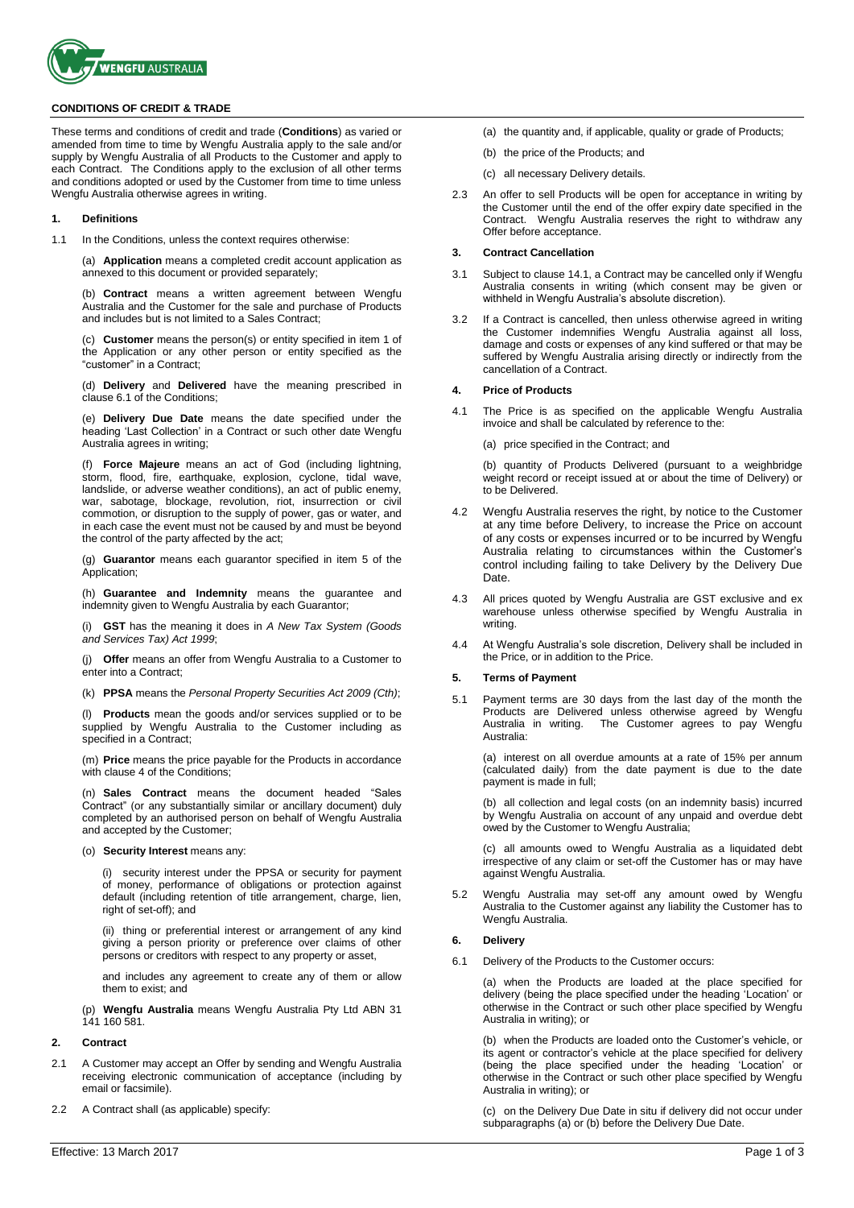

#### **CONDITIONS OF CREDIT & TRADE**

These terms and conditions of credit and trade (**Conditions**) as varied or amended from time to time by Wengfu Australia apply to the sale and/or supply by Wengfu Australia of all Products to the Customer and apply to each Contract. The Conditions apply to the exclusion of all other terms and conditions adopted or used by the Customer from time to time unless Wengfu Australia otherwise agrees in writing.

#### **1. Definitions**

1.1 In the Conditions, unless the context requires otherwise:

(a) **Application** means a completed credit account application as annexed to this document or provided separately;

(b) **Contract** means a written agreement between Wengfu Australia and the Customer for the sale and purchase of Products and includes but is not limited to a Sales Contract;

(c) **Customer** means the person(s) or entity specified in item 1 of the Application or any other person or entity specified as the "customer" in a Contract;

(d) **Delivery** and **Delivered** have the meaning prescribed in clause 6.1 of the Conditions;

(e) **Delivery Due Date** means the date specified under the heading 'Last Collection' in a Contract or such other date Wengfu Australia agrees in writing;

(f) **Force Majeure** means an act of God (including lightning, storm, flood, fire, earthquake, explosion, cyclone, tidal wave, landslide, or adverse weather conditions), an act of public enemy, war, sabotage, blockage, revolution, riot, insurrection or civil commotion, or disruption to the supply of power, gas or water, and in each case the event must not be caused by and must be beyond the control of the party affected by the act;

(g) **Guarantor** means each guarantor specified in item 5 of the Application;

(h) **Guarantee and Indemnity** means the guarantee and indemnity given to Wengfu Australia by each Guarantor;

(i) **GST** has the meaning it does in *A New Tax System (Goods and Services Tax) Act 1999*;

(j) **Offer** means an offer from Wengfu Australia to a Customer to enter into a Contract;

(k) **PPSA** means the *Personal Property Securities Act 2009 (Cth)*;

(l) **Products** mean the goods and/or services supplied or to be supplied by Wengfu Australia to the Customer including as specified in a Contract;

(m) **Price** means the price payable for the Products in accordance with clause 4 of the Conditions;

(n) **Sales Contract** means the document headed "Sales Contract" (or any substantially similar or ancillary document) duly completed by an authorised person on behalf of Wengfu Australia and accepted by the Customer;

(o) **Security Interest** means any:

(i) security interest under the PPSA or security for payment of money, performance of obligations or protection against default (including retention of title arrangement, charge, lien, right of set-off); and

(ii) thing or preferential interest or arrangement of any kind giving a person priority or preference over claims of other persons or creditors with respect to any property or asset,

and includes any agreement to create any of them or allow them to exist; and

(p) **Wengfu Australia** means Wengfu Australia Pty Ltd ABN 31 141 160 581.

# **2. Contract**

- 2.1 A Customer may accept an Offer by sending and Wengfu Australia receiving electronic communication of acceptance (including by email or facsimile).
- 2.2 A Contract shall (as applicable) specify:
- (a) the quantity and, if applicable, quality or grade of Products;
- (b) the price of the Products; and
- (c) all necessary Delivery details.
- 2.3 An offer to sell Products will be open for acceptance in writing by the Customer until the end of the offer expiry date specified in the Contract. Wengfu Australia reserves the right to withdraw any Offer before acceptance.

#### **3. Contract Cancellation**

- 3.1 Subject to clause 14.1, a Contract may be cancelled only if Wengfu Australia consents in writing (which consent may be given or withheld in Wengfu Australia's absolute discretion).
- 3.2 If a Contract is cancelled, then unless otherwise agreed in writing the Customer indemnifies Wengfu Australia against all loss, damage and costs or expenses of any kind suffered or that may be suffered by Wengfu Australia arising directly or indirectly from the cancellation of a Contract.

#### **4. Price of Products**

4.1 The Price is as specified on the applicable Wengfu Australia invoice and shall be calculated by reference to the:

(a) price specified in the Contract; and

(b) quantity of Products Delivered (pursuant to a weighbridge weight record or receipt issued at or about the time of Delivery) or to be Delivered.

- 4.2 Wengfu Australia reserves the right, by notice to the Customer at any time before Delivery, to increase the Price on account of any costs or expenses incurred or to be incurred by Wengfu Australia relating to circumstances within the Customer's control including failing to take Delivery by the Delivery Due Date.
- 4.3 All prices quoted by Wengfu Australia are GST exclusive and ex warehouse unless otherwise specified by Wengfu Australia in writing.
- 4.4 At Wengfu Australia's sole discretion, Delivery shall be included in the Price, or in addition to the Price.

# **5. Terms of Payment**

5.1 Payment terms are 30 days from the last day of the month the Products are Delivered unless otherwise agreed by Wengfu Australia in writing. The Customer agrees to pay Wengfu Australia:

(a) interest on all overdue amounts at a rate of 15% per annum (calculated daily) from the date payment is due to the date payment is made in full;

(b) all collection and legal costs (on an indemnity basis) incurred by Wengfu Australia on account of any unpaid and overdue debt owed by the Customer to Wengfu Australia;

(c) all amounts owed to Wengfu Australia as a liquidated debt irrespective of any claim or set-off the Customer has or may have against Wengfu Australia.

5.2 Wengfu Australia may set-off any amount owed by Wengfu Australia to the Customer against any liability the Customer has to Wengfu Australia.

#### **6. Delivery**

6.1 Delivery of the Products to the Customer occurs:

(a) when the Products are loaded at the place specified for delivery (being the place specified under the heading 'Location' or otherwise in the Contract or such other place specified by Wengfu Australia in writing); or

(b) when the Products are loaded onto the Customer's vehicle, or its agent or contractor's vehicle at the place specified for delivery (being the place specified under the heading 'Location' or otherwise in the Contract or such other place specified by Wengfu Australia in writing); or

(c) on the Delivery Due Date in situ if delivery did not occur under subparagraphs (a) or (b) before the Delivery Due Date.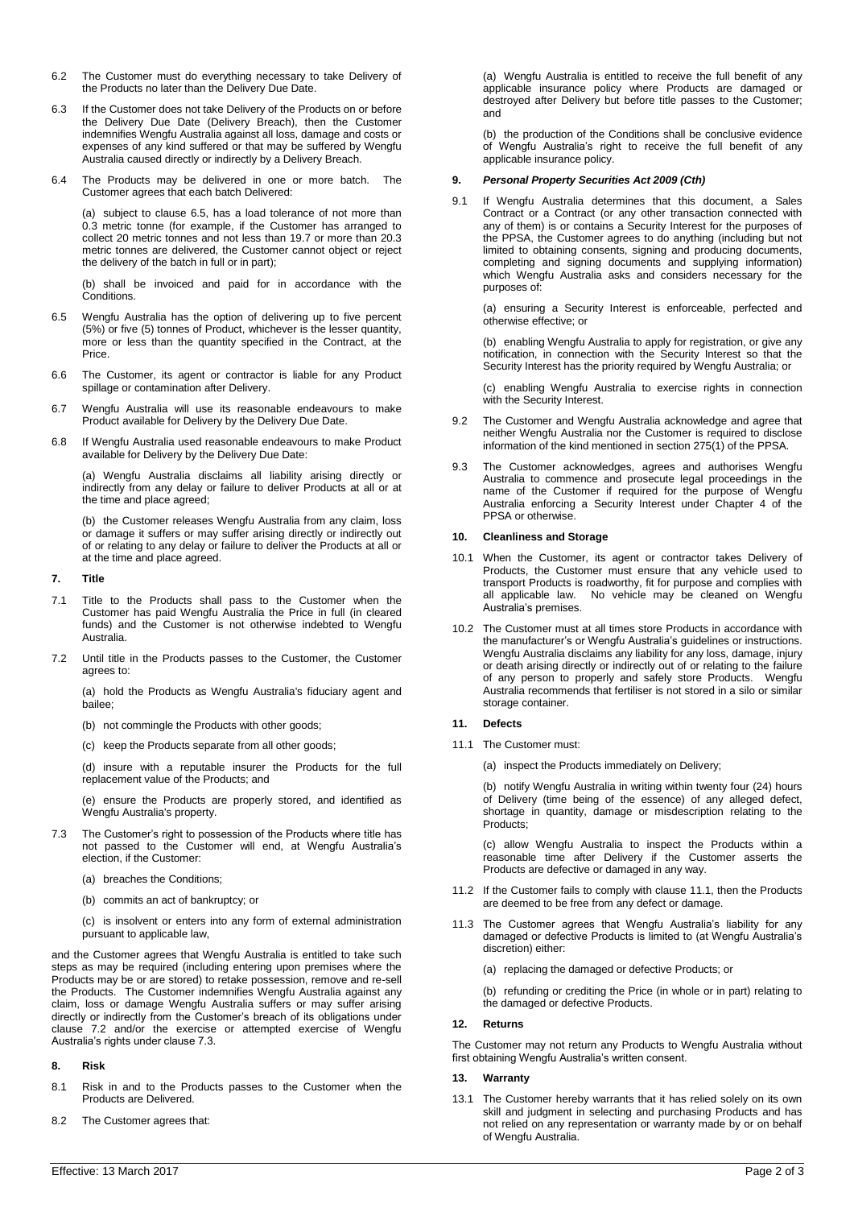- 6.2 The Customer must do everything necessary to take Delivery of the Products no later than the Delivery Due Date.
- 6.3 If the Customer does not take Delivery of the Products on or before the Delivery Due Date (Delivery Breach), then the Customer indemnifies Wengfu Australia against all loss, damage and costs or expenses of any kind suffered or that may be suffered by Wengfu Australia caused directly or indirectly by a Delivery Breach.
- 6.4 The Products may be delivered in one or more batch. The Customer agrees that each batch Delivered:

(a) subject to clause [6.5,](#page-1-0) has a load tolerance of not more than 0.3 metric tonne (for example, if the Customer has arranged to collect 20 metric tonnes and not less than 19.7 or more than 20.3 metric tonnes are delivered, the Customer cannot object or reject the delivery of the batch in full or in part);

(b) shall be invoiced and paid for in accordance with the **Conditions** 

- <span id="page-1-0"></span>6.5 Wengfu Australia has the option of delivering up to five percent (5%) or five (5) tonnes of Product, whichever is the lesser quantity, more or less than the quantity specified in the Contract, at the Price.
- 6.6 The Customer, its agent or contractor is liable for any Product spillage or contamination after Delivery.
- 6.7 Wengfu Australia will use its reasonable endeavours to make Product available for Delivery by the Delivery Due Date.
- 6.8 If Wengfu Australia used reasonable endeavours to make Product available for Delivery by the Delivery Due Date:

(a) Wengfu Australia disclaims all liability arising directly or indirectly from any delay or failure to deliver Products at all or at the time and place agreed;

(b) the Customer releases Wengfu Australia from any claim, loss or damage it suffers or may suffer arising directly or indirectly out of or relating to any delay or failure to deliver the Products at all or at the time and place agreed.

# **7. Title**

- 7.1 Title to the Products shall pass to the Customer when the Customer has paid Wengfu Australia the Price in full (in cleared funds) and the Customer is not otherwise indebted to Wengfu Australia.
- 7.2 Until title in the Products passes to the Customer, the Customer agrees to:

(a) hold the Products as Wengfu Australia's fiduciary agent and bailee;

- (b) not commingle the Products with other goods;
- (c) keep the Products separate from all other goods;

(d) insure with a reputable insurer the Products for the full replacement value of the Products; and

(e) ensure the Products are properly stored, and identified as Wengfu Australia's property.

7.3 The Customer's right to possession of the Products where title has not passed to the Customer will end, at Wengfu Australia's election, if the Customer:

(a) breaches the Conditions;

- (b) commits an act of bankruptcy; or
- (c) is insolvent or enters into any form of external administration pursuant to applicable law,

and the Customer agrees that Wengfu Australia is entitled to take such steps as may be required (including entering upon premises where the Products may be or are stored) to retake possession, remove and re-sell the Products. The Customer indemnifies Wengfu Australia against any claim, loss or damage Wengfu Australia suffers or may suffer arising directly or indirectly from the Customer's breach of its obligations under clause 7.2 and/or the exercise or attempted exercise of Wengfu Australia's rights under clause 7.3.

# **8. Risk**

- 8.1 Risk in and to the Products passes to the Customer when the Products are Delivered.
- 8.2 The Customer agrees that:

(a) Wengfu Australia is entitled to receive the full benefit of any applicable insurance policy where Products are damaged or destroyed after Delivery but before title passes to the Customer; and

(b) the production of the Conditions shall be conclusive evidence of Wengfu Australia's right to receive the full benefit of any applicable insurance policy.

# **9.** *Personal Property Securities Act 2009 (Cth)*

9.1 If Wengfu Australia determines that this document, a Sales Contract or a Contract (or any other transaction connected with any of them) is or contains a Security Interest for the purposes of the PPSA, the Customer agrees to do anything (including but not limited to obtaining consents, signing and producing documents, completing and signing documents and supplying information) which Wengfu Australia asks and considers necessary for the purposes of:

(a) ensuring a Security Interest is enforceable, perfected and otherwise effective; or

(b) enabling Wengfu Australia to apply for registration, or give any notification, in connection with the Security Interest so that the Security Interest has the priority required by Wengfu Australia; or

(c) enabling Wengfu Australia to exercise rights in connection with the Security Interest.

- 9.2 The Customer and Wengfu Australia acknowledge and agree that neither Wengfu Australia nor the Customer is required to disclose information of the kind mentioned in section 275(1) of the PPSA.
- 9.3 The Customer acknowledges, agrees and authorises Wengfu Australia to commence and prosecute legal proceedings in the name of the Customer if required for the purpose of Wengfu Australia enforcing a Security Interest under Chapter 4 of the PPSA or otherwise.

# **10. Cleanliness and Storage**

- 10.1 When the Customer, its agent or contractor takes Delivery of Products, the Customer must ensure that any vehicle used to transport Products is roadworthy, fit for purpose and complies with all applicable law. No vehicle may be cleaned on Wengfu Australia's premises.
- 10.2 The Customer must at all times store Products in accordance with the manufacturer's or Wengfu Australia's guidelines or instructions. Wengfu Australia disclaims any liability for any loss, damage, injury or death arising directly or indirectly out of or relating to the failure of any person to properly and safely store Products. Wengfu Australia recommends that fertiliser is not stored in a silo or similar storage container.

# **11. Defects**

- 11.1 The Customer must:
	- (a) inspect the Products immediately on Delivery;

(b) notify Wengfu Australia in writing within twenty four (24) hours of Delivery (time being of the essence) of any alleged defect, shortage in quantity, damage or misdescription relating to the Products;

(c) allow Wengfu Australia to inspect the Products within a reasonable time after Delivery if the Customer asserts the Products are defective or damaged in any way.

- 11.2 If the Customer fails to comply with clause 11.1, then the Products are deemed to be free from any defect or damage.
- 11.3 The Customer agrees that Wengfu Australia's liability for any damaged or defective Products is limited to (at Wengfu Australia's discretion) either:
	- (a) replacing the damaged or defective Products; or

(b) refunding or crediting the Price (in whole or in part) relating to the damaged or defective Products.

#### **12. Returns**

The Customer may not return any Products to Wengfu Australia without first obtaining Wengfu Australia's written consent.

#### **13. Warranty**

13.1 The Customer hereby warrants that it has relied solely on its own skill and judgment in selecting and purchasing Products and has not relied on any representation or warranty made by or on behalf of Wengfu Australia.